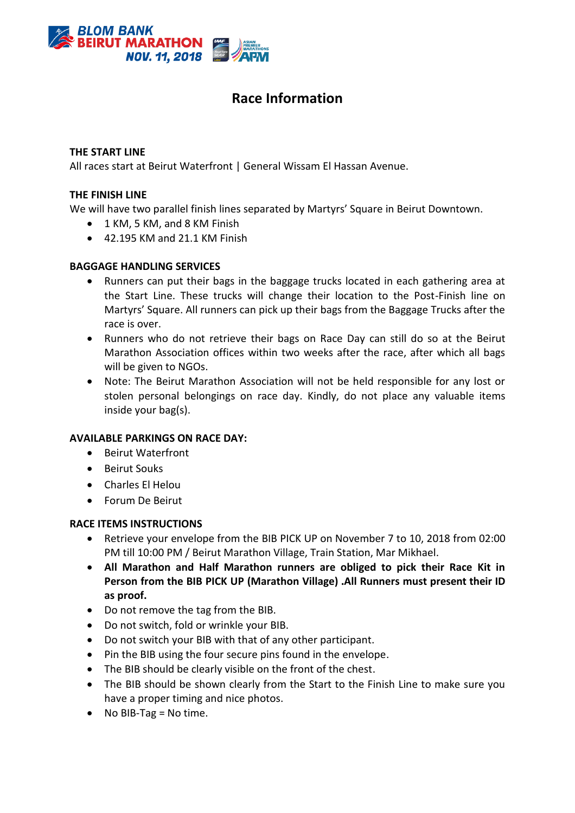

# **Race Information**

#### **THE START LINE**

All races start at Beirut Waterfront | General Wissam El Hassan Avenue.

#### **THE FINISH LINE**

We will have two parallel finish lines separated by Martyrs' Square in Beirut Downtown.

- 1 KM, 5 KM, and 8 KM Finish
- $\bullet$  42.195 KM and 21.1 KM Finish

#### **BAGGAGE HANDLING SERVICES**

- Runners can put their bags in the baggage trucks located in each gathering area at the Start Line. These trucks will change their location to the Post-Finish line on Martyrs' Square. All runners can pick up their bags from the Baggage Trucks after the race is over.
- Runners who do not retrieve their bags on Race Day can still do so at the Beirut Marathon Association offices within two weeks after the race, after which all bags will be given to NGOs.
- Note: The Beirut Marathon Association will not be held responsible for any lost or stolen personal belongings on race day. Kindly, do not place any valuable items inside your bag(s).

#### **AVAILABLE PARKINGS ON RACE DAY:**

- Beirut Waterfront
- Beirut Souks
- Charles El Helou
- Forum De Beirut

#### **RACE ITEMS INSTRUCTIONS**

- Retrieve your envelope from the BIB PICK UP on November 7 to 10, 2018 from 02:00 PM till 10:00 PM / Beirut Marathon Village, Train Station, Mar Mikhael.
- **All Marathon and Half Marathon runners are obliged to pick their Race Kit in Person from the BIB PICK UP (Marathon Village) .All Runners must present their ID as proof.**
- Do not remove the tag from the BIB.
- Do not switch, fold or wrinkle your BIB.
- Do not switch your BIB with that of any other participant.
- Pin the BIB using the four secure pins found in the envelope.
- The BIB should be clearly visible on the front of the chest.
- The BIB should be shown clearly from the Start to the Finish Line to make sure you have a proper timing and nice photos.
- $\bullet$  No BIB-Tag = No time.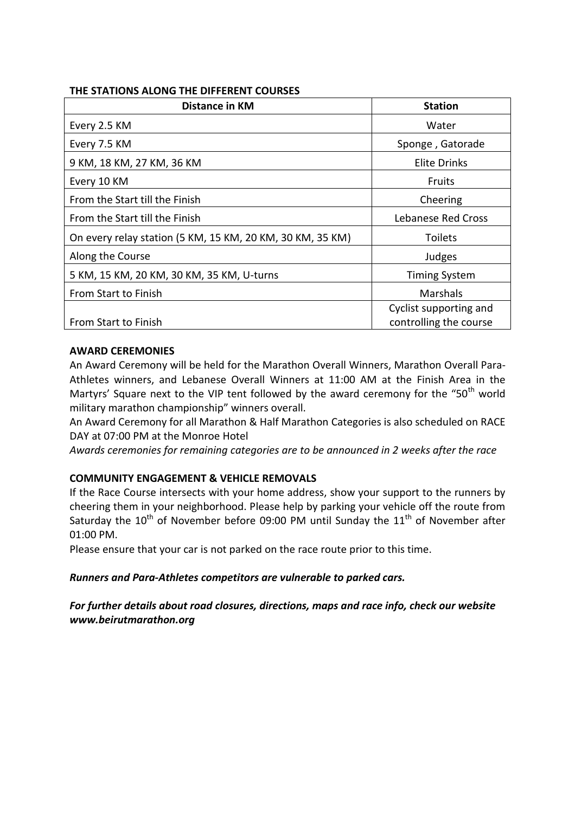#### **THE STATIONS ALONG THE DIFFERENT COURSES**

| Distance in KM                                            | <b>Station</b>                                   |  |  |
|-----------------------------------------------------------|--------------------------------------------------|--|--|
| Every 2.5 KM                                              | Water                                            |  |  |
| Every 7.5 KM                                              | Sponge, Gatorade                                 |  |  |
| 9 KM, 18 KM, 27 KM, 36 KM                                 | <b>Elite Drinks</b>                              |  |  |
| Every 10 KM                                               | <b>Fruits</b>                                    |  |  |
| From the Start till the Finish                            | Cheering                                         |  |  |
| From the Start till the Finish                            | Lebanese Red Cross                               |  |  |
| On every relay station (5 KM, 15 KM, 20 KM, 30 KM, 35 KM) | <b>Toilets</b>                                   |  |  |
| Along the Course                                          | Judges                                           |  |  |
| 5 KM, 15 KM, 20 KM, 30 KM, 35 KM, U-turns                 | <b>Timing System</b>                             |  |  |
| From Start to Finish                                      | Marshals                                         |  |  |
| From Start to Finish                                      | Cyclist supporting and<br>controlling the course |  |  |

## **AWARD CEREMONIES**

An Award Ceremony will be held for the Marathon Overall Winners, Marathon Overall Para-Athletes winners, and Lebanese Overall Winners at 11:00 AM at the Finish Area in the Martyrs' Square next to the VIP tent followed by the award ceremony for the "50<sup>th</sup> world military marathon championship" winners overall.

An Award Ceremony for all Marathon & Half Marathon Categories is also scheduled on RACE DAY at 07:00 PM at the Monroe Hotel

*Awards ceremonies for remaining categories are to be announced in 2 weeks after the race*

# **COMMUNITY ENGAGEMENT & VEHICLE REMOVALS**

If the Race Course intersects with your home address, show your support to the runners by cheering them in your neighborhood. Please help by parking your vehicle off the route from Saturday the  $10^{\text{th}}$  of November before 09:00 PM until Sunday the  $11^{\text{th}}$  of November after 01:00 PM.

Please ensure that your car is not parked on the race route prior to this time.

#### *Runners and Para-Athletes competitors are vulnerable to parked cars.*

*For further details about road closures, directions, maps and race info, check our website [www.beirutmarathon.org](http://www.beirutmarathon.org/)*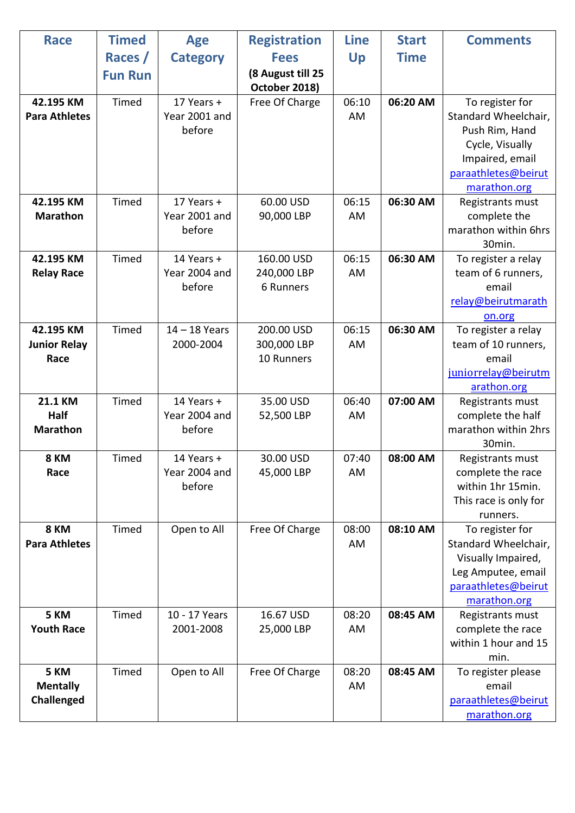| <b>Race</b>                               | <b>Timed</b>   | <b>Age</b>                            | <b>Registration</b>                     | <b>Line</b> | <b>Start</b> | <b>Comments</b>                                                                                                                        |
|-------------------------------------------|----------------|---------------------------------------|-----------------------------------------|-------------|--------------|----------------------------------------------------------------------------------------------------------------------------------------|
|                                           | Races /        | <b>Category</b>                       | <b>Fees</b>                             | Up          | <b>Time</b>  |                                                                                                                                        |
|                                           | <b>Fun Run</b> |                                       | (8 August till 25<br>October 2018)      |             |              |                                                                                                                                        |
| 42.195 KM<br><b>Para Athletes</b>         | Timed          | 17 Years +<br>Year 2001 and<br>before | Free Of Charge                          | 06:10<br>AM | 06:20 AM     | To register for<br>Standard Wheelchair,<br>Push Rim, Hand<br>Cycle, Visually<br>Impaired, email<br>paraathletes@beirut<br>marathon.org |
| 42.195 KM<br><b>Marathon</b>              | Timed          | 17 Years +<br>Year 2001 and<br>before | 60.00 USD<br>90,000 LBP                 | 06:15<br>AM | 06:30 AM     | Registrants must<br>complete the<br>marathon within 6hrs<br>30min.                                                                     |
| 42.195 KM<br><b>Relay Race</b>            | Timed          | 14 Years +<br>Year 2004 and<br>before | 160.00 USD<br>240,000 LBP<br>6 Runners  | 06:15<br>AM | 06:30 AM     | To register a relay<br>team of 6 runners,<br>email<br>relay@beirutmarath<br>on.org                                                     |
| 42.195 KM<br><b>Junior Relay</b><br>Race  | Timed          | $14 - 18$ Years<br>2000-2004          | 200.00 USD<br>300,000 LBP<br>10 Runners | 06:15<br>AM | 06:30 AM     | To register a relay<br>team of 10 runners,<br>email<br>juniorrelay@beirutm<br>arathon.org                                              |
| <b>21.1 KM</b><br>Half<br><b>Marathon</b> | Timed          | 14 Years +<br>Year 2004 and<br>before | 35.00 USD<br>52,500 LBP                 | 06:40<br>AM | 07:00 AM     | Registrants must<br>complete the half<br>marathon within 2hrs<br>30min.                                                                |
| 8 KM<br>Race                              | Timed          | 14 Years +<br>Year 2004 and<br>before | 30.00 USD<br>45,000 LBP                 | 07:40<br>AM | 08:00 AM     | Registrants must<br>complete the race<br>within 1hr 15min.<br>This race is only for<br>runners.                                        |
| 8 KM<br><b>Para Athletes</b>              | Timed          | Open to All                           | Free Of Charge                          | 08:00<br>AM | 08:10 AM     | To register for<br>Standard Wheelchair,<br>Visually Impaired,<br>Leg Amputee, email<br>paraathletes@beirut<br>marathon.org             |
| 5 KM<br><b>Youth Race</b>                 | Timed          | 10 - 17 Years<br>2001-2008            | 16.67 USD<br>25,000 LBP                 | 08:20<br>AM | 08:45 AM     | Registrants must<br>complete the race<br>within 1 hour and 15<br>min.                                                                  |
| 5 KM<br><b>Mentally</b><br>Challenged     | Timed          | Open to All                           | Free Of Charge                          | 08:20<br>AM | 08:45 AM     | To register please<br>email<br>paraathletes@beirut<br>marathon.org                                                                     |